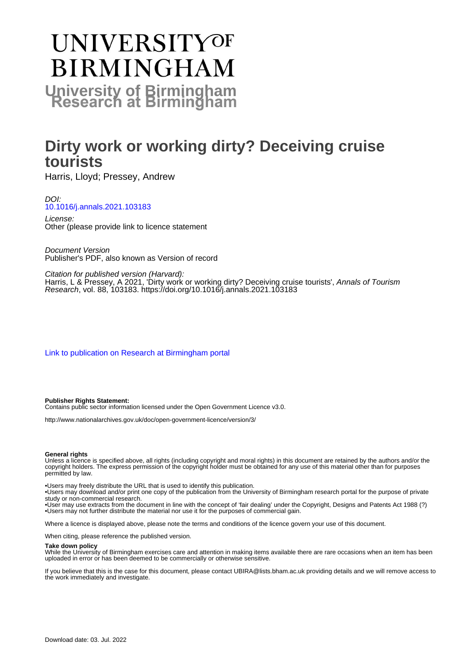# **UNIVERSITYOF BIRMINGHAM University of Birmingham**

## **Dirty work or working dirty? Deceiving cruise tourists**

Harris, Lloyd; Pressey, Andrew

#### DOI: [10.1016/j.annals.2021.103183](https://doi.org/10.1016/j.annals.2021.103183)

License: Other (please provide link to licence statement

Document Version Publisher's PDF, also known as Version of record

Citation for published version (Harvard): Harris, L & Pressey, A 2021, 'Dirty work or working dirty? Deceiving cruise tourists', Annals of Tourism Research, vol. 88, 103183.<https://doi.org/10.1016/j.annals.2021.103183>

[Link to publication on Research at Birmingham portal](https://birmingham.elsevierpure.com/en/publications/8c637812-d9b5-4998-aebc-5c517603c8a6)

#### **Publisher Rights Statement:**

Contains public sector information licensed under the Open Government Licence v3.0.

http://www.nationalarchives.gov.uk/doc/open-government-licence/version/3/

#### **General rights**

Unless a licence is specified above, all rights (including copyright and moral rights) in this document are retained by the authors and/or the copyright holders. The express permission of the copyright holder must be obtained for any use of this material other than for purposes permitted by law.

• Users may freely distribute the URL that is used to identify this publication.

• Users may download and/or print one copy of the publication from the University of Birmingham research portal for the purpose of private study or non-commercial research.

• User may use extracts from the document in line with the concept of 'fair dealing' under the Copyright, Designs and Patents Act 1988 (?) • Users may not further distribute the material nor use it for the purposes of commercial gain.

Where a licence is displayed above, please note the terms and conditions of the licence govern your use of this document.

When citing, please reference the published version.

#### **Take down policy**

While the University of Birmingham exercises care and attention in making items available there are rare occasions when an item has been uploaded in error or has been deemed to be commercially or otherwise sensitive.

If you believe that this is the case for this document, please contact UBIRA@lists.bham.ac.uk providing details and we will remove access to the work immediately and investigate.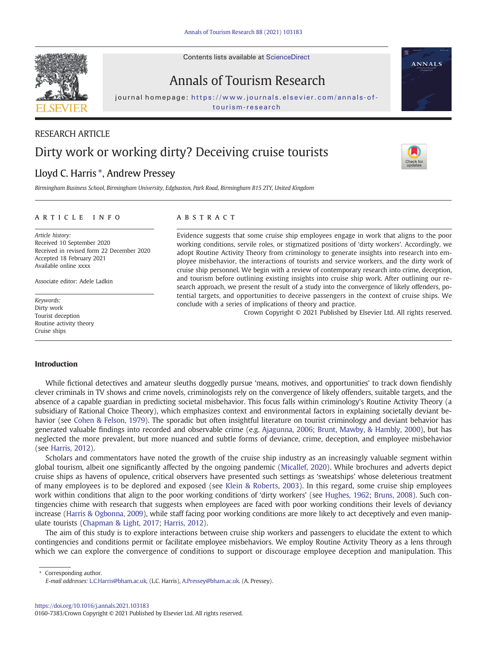

Annals of Tourism Research

journal homepage: [https://www.journals.elsevier.com/annals-of-](https://www.journals.elsevier.com/annals-of-tourism-research)

### RESEARCH ARTICLE

## Dirty work or working dirty? Deceiving cruise tourists

### Lloyd C. Harris  $*$ , Andrew Pressey

Birmingham Business School, Birmingham University, Edgbaston, Park Road, Birmingham B15 2TY, United Kingdom

#### article info abstract

Article history: Received 10 September 2020 Received in revised form 22 December 2020 Accepted 18 February 2021 Available online xxxx

Associate editor: Adele Ladkin

Keywords: Dirty work Tourist deception Routine activity theory Cruise ships

Evidence suggests that some cruise ship employees engage in work that aligns to the poor working conditions, servile roles, or stigmatized positions of 'dirty workers'. Accordingly, we adopt Routine Activity Theory from criminology to generate insights into research into employee misbehavior, the interactions of tourists and service workers, and the dirty work of cruise ship personnel. We begin with a review of contemporary research into crime, deception, and tourism before outlining existing insights into cruise ship work. After outlining our research approach, we present the result of a study into the convergence of likely offenders, potential targets, and opportunities to deceive passengers in the context of cruise ships. We conclude with a series of implications of theory and practice.

Crown Copyright © 2021 Published by Elsevier Ltd. All rights reserved.

#### Introduction

While fictional detectives and amateur sleuths doggedly pursue 'means, motives, and opportunities' to track down fiendishly clever criminals in TV shows and crime novels, criminologists rely on the convergence of likely offenders, suitable targets, and the absence of a capable guardian in predicting societal misbehavior. This focus falls within criminology's Routine Activity Theory (a subsidiary of Rational Choice Theory), which emphasizes context and environmental factors in explaining societally deviant behavior (see [Cohen & Felson, 1979\)](#page-11-0). The sporadic but often insightful literature on tourist criminology and deviant behavior has generated valuable findings into recorded and observable crime (e.g. [Ajagunna, 2006;](#page-10-0) [Brunt, Mawby, & Hambly, 2000](#page-10-0)), but has neglected the more prevalent, but more nuanced and subtle forms of deviance, crime, deception, and employee misbehavior (see [Harris, 2012\)](#page-11-0).

Scholars and commentators have noted the growth of the cruise ship industry as an increasingly valuable segment within global tourism, albeit one significantly affected by the ongoing pandemic [\(Micallef, 2020](#page-11-0)). While brochures and adverts depict cruise ships as havens of opulence, critical observers have presented such settings as 'sweatships' whose deleterious treatment of many employees is to be deplored and exposed (see [Klein & Roberts, 2003\)](#page-11-0). In this regard, some cruise ship employees work within conditions that align to the poor working conditions of 'dirty workers' (see [Hughes, 1962;](#page-11-0) [Bruns, 2008](#page-10-0)). Such contingencies chime with research that suggests when employees are faced with poor working conditions their levels of deviancy increase [\(Harris & Ogbonna, 2009\)](#page-11-0), while staff facing poor working conditions are more likely to act deceptively and even manipulate tourists ([Chapman & Light, 2017;](#page-10-0) [Harris, 2012\)](#page-11-0).

The aim of this study is to explore interactions between cruise ship workers and passengers to elucidate the extent to which contingencies and conditions permit or facilitate employee misbehaviors. We employ Routine Activity Theory as a lens through which we can explore the convergence of conditions to support or discourage employee deception and manipulation. This

Corresponding author.

E-mail addresses: L.C.Harris@bham.ac.uk, (L.C. Harris), <A.Pressey@bham.ac.uk>. (A. Pressey).

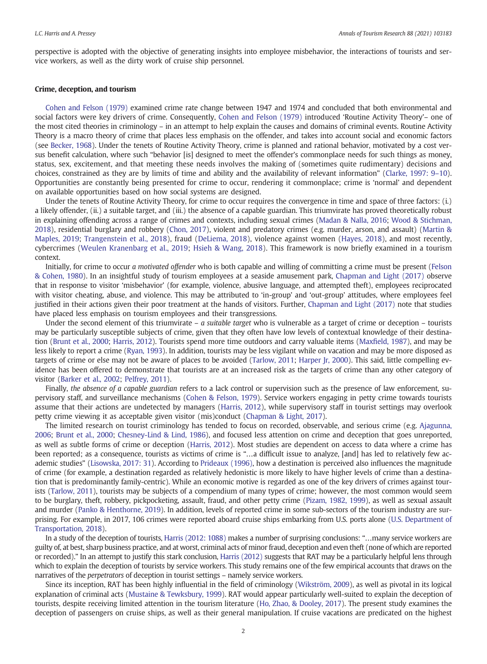perspective is adopted with the objective of generating insights into employee misbehavior, the interactions of tourists and service workers, as well as the dirty work of cruise ship personnel.

#### Crime, deception, and tourism

[Cohen and Felson \(1979\)](#page-11-0) examined crime rate change between 1947 and 1974 and concluded that both environmental and social factors were key drivers of crime. Consequently, [Cohen and Felson \(1979\)](#page-11-0) introduced 'Routine Activity Theory'– one of the most cited theories in criminology – in an attempt to help explain the causes and domains of criminal events. Routine Activity Theory is a macro theory of crime that places less emphasis on the offender, and takes into account social and economic factors (see [Becker, 1968\)](#page-10-0). Under the tenets of Routine Activity Theory, crime is planned and rational behavior, motivated by a cost versus benefit calculation, where such "behavior [is] designed to meet the offender's commonplace needs for such things as money, status, sex, excitement, and that meeting these needs involves the making of (sometimes quite rudimentary) decisions and choices, constrained as they are by limits of time and ability and the availability of relevant information" [\(Clarke, 1997: 9](#page-11-0)–10). Opportunities are constantly being presented for crime to occur, rendering it commonplace; crime is 'normal' and dependent on available opportunities based on how social systems are designed.

Under the tenets of Routine Activity Theory, for crime to occur requires the convergence in time and space of three factors: (i.) a likely offender, (ii.) a suitable target, and (iii.) the absence of a capable guardian. This triumvirate has proved theoretically robust in explaining offending across a range of crimes and contexts, including sexual crimes ([Madan & Nalla, 2016](#page-11-0); [Wood & Stichman,](#page-12-0) [2018\)](#page-12-0), residential burglary and robbery ([Chon, 2017\)](#page-11-0), violent and predatory crimes (e.g. murder, arson, and assault) ([Martin &](#page-11-0) [Maples, 2019](#page-11-0); [Trangenstein et al., 2018\)](#page-12-0), fraud [\(DeLiema, 2018](#page-11-0)), violence against women ([Hayes, 2018](#page-11-0)), and most recently, cybercrimes [\(Weulen Kranenbarg et al., 2019](#page-12-0); [Hsieh & Wang, 2018\)](#page-11-0). This framework is now briefly examined in a tourism context.

Initially, for crime to occur a motivated offender who is both capable and willing of committing a crime must be present ([Felson](#page-11-0) [& Cohen, 1980\)](#page-11-0). In an insightful study of tourism employees at a seaside amusement park, [Chapman and Light \(2017\)](#page-10-0) observe that in response to visitor 'misbehavior' (for example, violence, abusive language, and attempted theft), employees reciprocated with visitor cheating, abuse, and violence. This may be attributed to 'in-group' and 'out-group' attitudes, where employees feel justified in their actions given their poor treatment at the hands of visitors. Further, [Chapman and Light \(2017\)](#page-10-0) note that studies have placed less emphasis on tourism employees and their transgressions.

Under the second element of this triumvirate –  $a$  suitable target who is vulnerable as a target of crime or deception – tourists may be particularly susceptible subjects of crime, given that they often have low levels of contextual knowledge of their destination [\(Brunt et al., 2000](#page-10-0); [Harris, 2012](#page-11-0)). Tourists spend more time outdoors and carry valuable items (Maxfi[eld, 1987](#page-11-0)), and may be less likely to report a crime [\(Ryan, 1993](#page-11-0)). In addition, tourists may be less vigilant while on vacation and may be more disposed as targets of crime or else may not be aware of places to be avoided [\(Tarlow, 2011;](#page-11-0) [Harper Jr, 2000](#page-11-0)). This said, little compelling evidence has been offered to demonstrate that tourists are at an increased risk as the targets of crime than any other category of visitor ([Barker et al., 2002](#page-10-0); [Pelfrey, 2011\)](#page-11-0).

Finally, the absence of a capable guardian refers to a lack control or supervision such as the presence of law enforcement, supervisory staff, and surveillance mechanisms [\(Cohen & Felson, 1979](#page-11-0)). Service workers engaging in petty crime towards tourists assume that their actions are undetected by managers ([Harris, 2012\)](#page-11-0), while supervisory staff in tourist settings may overlook petty crime viewing it as acceptable given visitor (mis)conduct [\(Chapman & Light, 2017\)](#page-10-0).

The limited research on tourist criminology has tended to focus on recorded, observable, and serious crime (e.g. [Ajagunna,](#page-10-0) [2006;](#page-10-0) [Brunt et al., 2000](#page-10-0); [Chesney-Lind & Lind, 1986\)](#page-10-0), and focused less attention on crime and deception that goes unreported, as well as subtle forms of crime or deception ([Harris, 2012](#page-11-0)). Most studies are dependent on access to data where a crime has been reported; as a consequence, tourists as victims of crime is "…a difficult issue to analyze, [and] has led to relatively few academic studies" [\(Lisowska, 2017: 31](#page-11-0)). According to [Prideaux \(1996\)](#page-11-0), how a destination is perceived also influences the magnitude of crime (for example, a destination regarded as relatively hedonistic is more likely to have higher levels of crime than a destination that is predominantly family-centric). While an economic motive is regarded as one of the key drivers of crimes against tourists [\(Tarlow, 2011\)](#page-11-0), tourists may be subjects of a compendium of many types of crime; however, the most common would seem to be burglary, theft, robbery, pickpocketing, assault, fraud, and other petty crime [\(Pizam, 1982, 1999\)](#page-11-0), as well as sexual assault and murder [\(Panko & Henthorne, 2019\)](#page-11-0). In addition, levels of reported crime in some sub-sectors of the tourism industry are surprising. For example, in 2017, 106 crimes were reported aboard cruise ships embarking from U.S. ports alone [\(U.S. Department of](#page-12-0) [Transportation, 2018\)](#page-12-0).

In a study of the deception of tourists, [Harris \(2012: 1088\)](#page-11-0) makes a number of surprising conclusions: "…many service workers are guilty of, at best, sharp business practice, and at worst, criminal acts of minor fraud, deception and even theft (none of which are reported or recorded)." In an attempt to justify this stark conclusion, [Harris \(2012\)](#page-11-0) suggests that RAT may be a particularly helpful lens through which to explain the deception of tourists by service workers. This study remains one of the few empirical accounts that draws on the narratives of the perpetrators of deception in tourist settings – namely service workers.

Since its inception, RAT has been highly influential in the field of criminology [\(Wikström, 2009\)](#page-12-0), as well as pivotal in its logical explanation of criminal acts ([Mustaine & Tewksbury, 1999\)](#page-11-0). RAT would appear particularly well-suited to explain the deception of tourists, despite receiving limited attention in the tourism literature [\(Ho, Zhao, & Dooley, 2017\)](#page-11-0). The present study examines the deception of passengers on cruise ships, as well as their general manipulation. If cruise vacations are predicated on the highest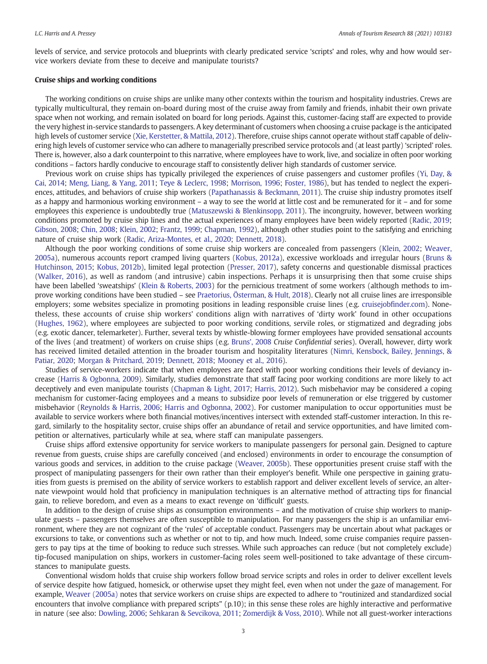levels of service, and service protocols and blueprints with clearly predicated service 'scripts' and roles, why and how would service workers deviate from these to deceive and manipulate tourists?

#### Cruise ships and working conditions

The working conditions on cruise ships are unlike many other contexts within the tourism and hospitality industries. Crews are typically multicultural, they remain on-board during most of the cruise away from family and friends, inhabit their own private space when not working, and remain isolated on board for long periods. Against this, customer-facing staff are expected to provide the very highest in-service standards to passengers. A key determinant of customers when choosing a cruise package is the anticipated high levels of customer service ([Xie, Kerstetter, & Mattila, 2012\)](#page-12-0). Therefore, cruise ships cannot operate without staff capable of delivering high levels of customer service who can adhere to managerially prescribed service protocols and (at least partly) 'scripted' roles. There is, however, also a dark counterpoint to this narrative, where employees have to work, live, and socialize in often poor working conditions – factors hardly conducive to encourage staff to consistently deliver high standards of customer service.

Previous work on cruise ships has typically privileged the experiences of cruise passengers and customer profiles ([Yi, Day, &](#page-12-0) [Cai, 2014](#page-12-0); [Meng, Liang, & Yang, 2011](#page-11-0); [Teye & Leclerc, 1998;](#page-11-0) [Morrison, 1996](#page-11-0); [Foster, 1986](#page-11-0)), but has tended to neglect the experiences, attitudes, and behaviors of cruise ship workers [\(Papathanassis & Beckmann, 2011](#page-11-0)). The cruise ship industry promotes itself as a happy and harmonious working environment – a way to see the world at little cost and be remunerated for it – and for some employees this experience is undoubtedly true [\(Matuszewski & Blenkinsopp, 2011\)](#page-11-0). The incongruity, however, between working conditions promoted by cruise ship lines and the actual experiences of many employees have been widely reported [\(Radic, 2019;](#page-11-0) [Gibson, 2008;](#page-11-0) [Chin, 2008;](#page-10-0) [Klein, 2002](#page-11-0); [Frantz, 1999;](#page-11-0) [Chapman, 1992](#page-10-0)), although other studies point to the satisfying and enriching nature of cruise ship work ([Radic, Ariza-Montes, et al., 2020](#page-11-0); [Dennett, 2018\)](#page-11-0).

Although the poor working conditions of some cruise ship workers are concealed from passengers [\(Klein, 2002](#page-11-0); [Weaver,](#page-12-0) [2005a](#page-12-0)), numerous accounts report cramped living quarters [\(Kobus, 2012a\)](#page-11-0), excessive workloads and irregular hours ([Bruns &](#page-10-0) [Hutchinson, 2015;](#page-10-0) [Kobus, 2012b\)](#page-11-0), limited legal protection [\(Presser, 2017\)](#page-11-0), safety concerns and questionable dismissal practices ([Walker, 2016\)](#page-12-0), as well as random (and intrusive) cabin inspections. Perhaps it is unsurprising then that some cruise ships have been labelled 'sweatships' [\(Klein & Roberts, 2003\)](#page-11-0) for the pernicious treatment of some workers (although methods to improve working conditions have been studied – see [Praetorius, Österman, & Hult, 2018\)](#page-11-0). Clearly not all cruise lines are irresponsible employers; some websites specialize in promoting positions in leading responsible cruise lines (e.g. cruisejobfi[nder.com](http://cruisejobfinder.com)). Nonetheless, these accounts of cruise ship workers' conditions align with narratives of 'dirty work' found in other occupations ([Hughes, 1962\)](#page-11-0), where employees are subjected to poor working conditions, servile roles, or stigmatized and degrading jobs (e.g. exotic dancer, telemarketer). Further, several texts by whistle-blowing former employees have provided sensational accounts of the lives (and treatment) of workers on cruise ships (e.g. [Bruns', 2008](#page-10-0) Cruise Confidential series). Overall, however, dirty work has received limited detailed attention in the broader tourism and hospitality literatures ([Nimri, Kensbock, Bailey, Jennings, &](#page-11-0) [Patiar, 2020;](#page-11-0) [Morgan & Pritchard, 2019](#page-11-0); [Dennett, 2018](#page-11-0); [Mooney et al., 2016\)](#page-11-0).

Studies of service-workers indicate that when employees are faced with poor working conditions their levels of deviancy increase ([Harris & Ogbonna, 2009\)](#page-11-0). Similarly, studies demonstrate that staff facing poor working conditions are more likely to act deceptively and even manipulate tourists ([Chapman & Light, 2017](#page-10-0); [Harris, 2012\)](#page-11-0). Such misbehavior may be considered a coping mechanism for customer-facing employees and a means to subsidize poor levels of remuneration or else triggered by customer misbehavior ([Reynolds & Harris, 2006;](#page-11-0) [Harris and Ogbonna, 2002\)](#page-11-0). For customer manipulation to occur opportunities must be available to service workers where both financial motives/incentives intersect with extended staff-customer interaction. In this regard, similarly to the hospitality sector, cruise ships offer an abundance of retail and service opportunities, and have limited competition or alternatives, particularly while at sea, where staff can manipulate passengers.

Cruise ships afford extensive opportunity for service workers to manipulate passengers for personal gain. Designed to capture revenue from guests, cruise ships are carefully conceived (and enclosed) environments in order to encourage the consumption of various goods and services, in addition to the cruise package [\(Weaver, 2005b\)](#page-12-0). These opportunities present cruise staff with the prospect of manipulating passengers for their own rather than their employer's benefit. While one perspective in gaining gratuities from guests is premised on the ability of service workers to establish rapport and deliver excellent levels of service, an alternate viewpoint would hold that proficiency in manipulation techniques is an alternative method of attracting tips for financial gain, to relieve boredom, and even as a means to exact revenge on 'difficult' guests.

In addition to the design of cruise ships as consumption environments – and the motivation of cruise ship workers to manipulate guests – passengers themselves are often susceptible to manipulation. For many passengers the ship is an unfamiliar environment, where they are not cognizant of the 'rules' of acceptable conduct. Passengers may be uncertain about what packages or excursions to take, or conventions such as whether or not to tip, and how much. Indeed, some cruise companies require passengers to pay tips at the time of booking to reduce such stresses. While such approaches can reduce (but not completely exclude) tip-focused manipulation on ships, workers in customer-facing roles seem well-positioned to take advantage of these circumstances to manipulate guests.

Conventional wisdom holds that cruise ship workers follow broad service scripts and roles in order to deliver excellent levels of service despite how fatigued, homesick, or otherwise upset they might feel, even when not under the gaze of management. For example, [Weaver \(2005a\)](#page-12-0) notes that service workers on cruise ships are expected to adhere to "routinized and standardized social encounters that involve compliance with prepared scripts" (p.10); in this sense these roles are highly interactive and performative in nature (see also: [Dowling, 2006](#page-11-0); [Sehkaran & Sevcikova, 2011;](#page-11-0) [Zomerdijk & Voss, 2010\)](#page-12-0). While not all guest-worker interactions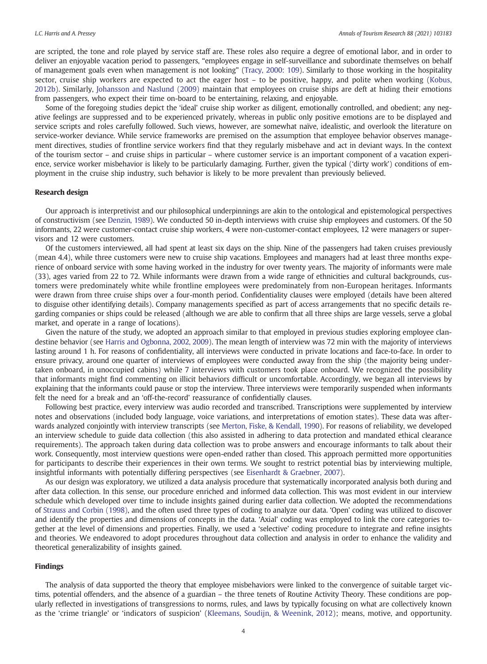are scripted, the tone and role played by service staff are. These roles also require a degree of emotional labor, and in order to deliver an enjoyable vacation period to passengers, "employees engage in self-surveillance and subordinate themselves on behalf of management goals even when management is not looking" [\(Tracy, 2000: 109\)](#page-12-0). Similarly to those working in the hospitality sector, cruise ship workers are expected to act the eager host – to be positive, happy, and polite when working ([Kobus,](#page-11-0) [2012b\)](#page-11-0). Similarly, [Johansson and Naslund \(2009\)](#page-11-0) maintain that employees on cruise ships are deft at hiding their emotions from passengers, who expect their time on-board to be entertaining, relaxing, and enjoyable.

Some of the foregoing studies depict the 'ideal' cruise ship worker as diligent, emotionally controlled, and obedient; any negative feelings are suppressed and to be experienced privately, whereas in public only positive emotions are to be displayed and service scripts and roles carefully followed. Such views, however, are somewhat naïve, idealistic, and overlook the literature on service-worker deviance. While service frameworks are premised on the assumption that employee behavior observes management directives, studies of frontline service workers find that they regularly misbehave and act in deviant ways. In the context of the tourism sector – and cruise ships in particular – where customer service is an important component of a vacation experience, service worker misbehavior is likely to be particularly damaging. Further, given the typical ('dirty work') conditions of employment in the cruise ship industry, such behavior is likely to be more prevalent than previously believed.

#### Research design

Our approach is interpretivist and our philosophical underpinnings are akin to the ontological and epistemological perspectives of constructivism (see [Denzin, 1989\)](#page-11-0). We conducted 50 in-depth interviews with cruise ship employees and customers. Of the 50 informants, 22 were customer-contact cruise ship workers, 4 were non-customer-contact employees, 12 were managers or supervisors and 12 were customers.

Of the customers interviewed, all had spent at least six days on the ship. Nine of the passengers had taken cruises previously (mean 4.4), while three customers were new to cruise ship vacations. Employees and managers had at least three months experience of onboard service with some having worked in the industry for over twenty years. The majority of informants were male (33), ages varied from 22 to 72. While informants were drawn from a wide range of ethnicities and cultural backgrounds, customers were predominately white while frontline employees were predominately from non-European heritages. Informants were drawn from three cruise ships over a four-month period. Confidentiality clauses were employed (details have been altered to disguise other identifying details). Company managements specified as part of access arrangements that no specific details regarding companies or ships could be released (although we are able to confirm that all three ships are large vessels, serve a global market, and operate in a range of locations).

Given the nature of the study, we adopted an approach similar to that employed in previous studies exploring employee clandestine behavior (see [Harris and Ogbonna, 2002, 2009](#page-11-0)). The mean length of interview was 72 min with the majority of interviews lasting around 1 h. For reasons of confidentiality, all interviews were conducted in private locations and face-to-face. In order to ensure privacy, around one quarter of interviews of employees were conducted away from the ship (the majority being undertaken onboard, in unoccupied cabins) while 7 interviews with customers took place onboard. We recognized the possibility that informants might find commenting on illicit behaviors difficult or uncomfortable. Accordingly, we began all interviews by explaining that the informants could pause or stop the interview. Three interviews were temporarily suspended when informants felt the need for a break and an 'off-the-record' reassurance of confidentially clauses.

Following best practice, every interview was audio recorded and transcribed. Transcriptions were supplemented by interview notes and observations (included body language, voice variations, and interpretations of emotion states). These data was afterwards analyzed conjointly with interview transcripts (see [Merton, Fiske, & Kendall, 1990](#page-11-0)). For reasons of reliability, we developed an interview schedule to guide data collection (this also assisted in adhering to data protection and mandated ethical clearance requirements). The approach taken during data collection was to probe answers and encourage informants to talk about their work. Consequently, most interview questions were open-ended rather than closed. This approach permitted more opportunities for participants to describe their experiences in their own terms. We sought to restrict potential bias by interviewing multiple, insightful informants with potentially differing perspectives (see [Eisenhardt & Graebner, 2007](#page-11-0)).

As our design was exploratory, we utilized a data analysis procedure that systematically incorporated analysis both during and after data collection. In this sense, our procedure enriched and informed data collection. This was most evident in our interview schedule which developed over time to include insights gained during earlier data collection. We adopted the recommendations of [Strauss and Corbin \(1998\),](#page-11-0) and the often used three types of coding to analyze our data. 'Open' coding was utilized to discover and identify the properties and dimensions of concepts in the data. 'Axial' coding was employed to link the core categories together at the level of dimensions and properties. Finally, we used a 'selective' coding procedure to integrate and refine insights and theories. We endeavored to adopt procedures throughout data collection and analysis in order to enhance the validity and theoretical generalizability of insights gained.

#### Findings

The analysis of data supported the theory that employee misbehaviors were linked to the convergence of suitable target victims, potential offenders, and the absence of a guardian – the three tenets of Routine Activity Theory. These conditions are popularly reflected in investigations of transgressions to norms, rules, and laws by typically focusing on what are collectively known as the 'crime triangle' or 'indicators of suspicion' [\(Kleemans, Soudijn, & Weenink, 2012](#page-11-0)); means, motive, and opportunity.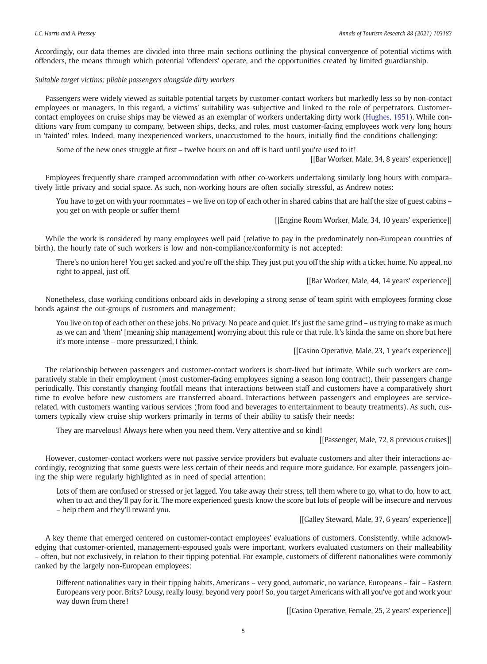Accordingly, our data themes are divided into three main sections outlining the physical convergence of potential victims with offenders, the means through which potential 'offenders' operate, and the opportunities created by limited guardianship.

#### Suitable target victims: pliable passengers alongside dirty workers

Passengers were widely viewed as suitable potential targets by customer-contact workers but markedly less so by non-contact employees or managers. In this regard, a victims' suitability was subjective and linked to the role of perpetrators. Customercontact employees on cruise ships may be viewed as an exemplar of workers undertaking dirty work [\(Hughes, 1951\)](#page-11-0). While conditions vary from company to company, between ships, decks, and roles, most customer-facing employees work very long hours in 'tainted' roles. Indeed, many inexperienced workers, unaccustomed to the hours, initially find the conditions challenging:

Some of the new ones struggle at first – twelve hours on and off is hard until you're used to it!

[[Bar Worker, Male, 34, 8 years' experience]]

Employees frequently share cramped accommodation with other co-workers undertaking similarly long hours with comparatively little privacy and social space. As such, non-working hours are often socially stressful, as Andrew notes:

You have to get on with your roommates – we live on top of each other in shared cabins that are half the size of guest cabins – you get on with people or suffer them!

[[Engine Room Worker, Male, 34, 10 years' experience]]

While the work is considered by many employees well paid (relative to pay in the predominately non-European countries of birth), the hourly rate of such workers is low and non-compliance/conformity is not accepted:

There's no union here! You get sacked and you're off the ship. They just put you off the ship with a ticket home. No appeal, no right to appeal, just off.

[[Bar Worker, Male, 44, 14 years' experience]]

Nonetheless, close working conditions onboard aids in developing a strong sense of team spirit with employees forming close bonds against the out-groups of customers and management:

You live on top of each other on these jobs. No privacy. No peace and quiet. It's just the same grind – us trying to make as much as we can and 'them' [meaning ship management] worrying about this rule or that rule. It's kinda the same on shore but here it's more intense – more pressurized, I think.

[[Casino Operative, Male, 23, 1 year's experience]]

The relationship between passengers and customer-contact workers is short-lived but intimate. While such workers are comparatively stable in their employment (most customer-facing employees signing a season long contract), their passengers change periodically. This constantly changing footfall means that interactions between staff and customers have a comparatively short time to evolve before new customers are transferred aboard. Interactions between passengers and employees are servicerelated, with customers wanting various services (from food and beverages to entertainment to beauty treatments). As such, customers typically view cruise ship workers primarily in terms of their ability to satisfy their needs:

They are marvelous! Always here when you need them. Very attentive and so kind!

[[Passenger, Male, 72, 8 previous cruises]]

However, customer-contact workers were not passive service providers but evaluate customers and alter their interactions accordingly, recognizing that some guests were less certain of their needs and require more guidance. For example, passengers joining the ship were regularly highlighted as in need of special attention:

Lots of them are confused or stressed or jet lagged. You take away their stress, tell them where to go, what to do, how to act, when to act and they'll pay for it. The more experienced guests know the score but lots of people will be insecure and nervous – help them and they'll reward you.

[[Galley Steward, Male, 37, 6 years' experience]]

A key theme that emerged centered on customer-contact employees' evaluations of customers. Consistently, while acknowledging that customer-oriented, management-espoused goals were important, workers evaluated customers on their malleability – often, but not exclusively, in relation to their tipping potential. For example, customers of different nationalities were commonly ranked by the largely non-European employees:

Different nationalities vary in their tipping habits. Americans – very good, automatic, no variance. Europeans – fair – Eastern Europeans very poor. Brits? Lousy, really lousy, beyond very poor! So, you target Americans with all you've got and work your way down from there!

[[Casino Operative, Female, 25, 2 years' experience]]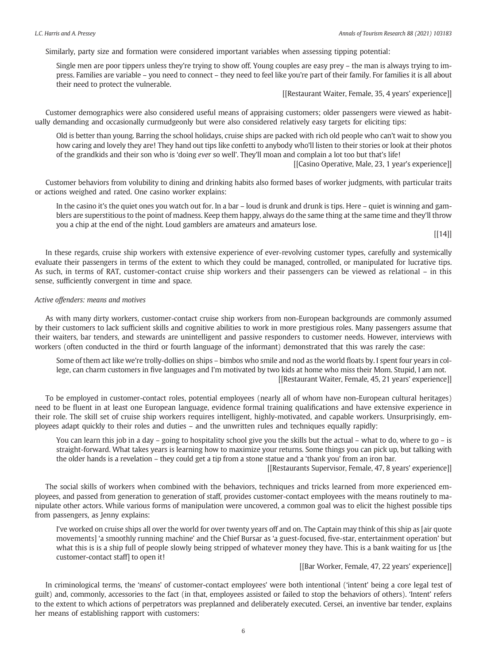Similarly, party size and formation were considered important variables when assessing tipping potential:

Single men are poor tippers unless they're trying to show off. Young couples are easy prey – the man is always trying to impress. Families are variable – you need to connect – they need to feel like you're part of their family. For families it is all about their need to protect the vulnerable.

[[Restaurant Waiter, Female, 35, 4 years' experience]]

Customer demographics were also considered useful means of appraising customers; older passengers were viewed as habitually demanding and occasionally curmudgeonly but were also considered relatively easy targets for eliciting tips:

Old is better than young. Barring the school holidays, cruise ships are packed with rich old people who can't wait to show you how caring and lovely they are! They hand out tips like confetti to anybody who'll listen to their stories or look at their photos of the grandkids and their son who is 'doing ever so well'. They'll moan and complain a lot too but that's life!

[[Casino Operative, Male, 23, 1 year's experience]]

Customer behaviors from volubility to dining and drinking habits also formed bases of worker judgments, with particular traits or actions weighed and rated. One casino worker explains:

In the casino it's the quiet ones you watch out for. In a bar – loud is drunk and drunk is tips. Here – quiet is winning and gamblers are superstitious to the point of madness. Keep them happy, always do the same thing at the same time and they'll throw you a chip at the end of the night. Loud gamblers are amateurs and amateurs lose.

 $[ [14] ]$ 

In these regards, cruise ship workers with extensive experience of ever-revolving customer types, carefully and systemically evaluate their passengers in terms of the extent to which they could be managed, controlled, or manipulated for lucrative tips. As such, in terms of RAT, customer-contact cruise ship workers and their passengers can be viewed as relational – in this sense, sufficiently convergent in time and space.

#### Active offenders: means and motives

As with many dirty workers, customer-contact cruise ship workers from non-European backgrounds are commonly assumed by their customers to lack sufficient skills and cognitive abilities to work in more prestigious roles. Many passengers assume that their waiters, bar tenders, and stewards are unintelligent and passive responders to customer needs. However, interviews with workers (often conducted in the third or fourth language of the informant) demonstrated that this was rarely the case:

Some of them act like we're trolly-dollies on ships – bimbos who smile and nod as the world floats by. I spent four years in college, can charm customers in five languages and I'm motivated by two kids at home who miss their Mom. Stupid, I am not. [[Restaurant Waiter, Female, 45, 21 years' experience]]

To be employed in customer-contact roles, potential employees (nearly all of whom have non-European cultural heritages) need to be fluent in at least one European language, evidence formal training qualifications and have extensive experience in their role. The skill set of cruise ship workers requires intelligent, highly-motivated, and capable workers. Unsurprisingly, employees adapt quickly to their roles and duties – and the unwritten rules and techniques equally rapidly:

You can learn this job in a day – going to hospitality school give you the skills but the actual – what to do, where to go – is straight-forward. What takes years is learning how to maximize your returns. Some things you can pick up, but talking with the older hands is a revelation – they could get a tip from a stone statue and a 'thank you' from an iron bar.

[[Restaurants Supervisor, Female, 47, 8 years' experience]]

The social skills of workers when combined with the behaviors, techniques and tricks learned from more experienced employees, and passed from generation to generation of staff, provides customer-contact employees with the means routinely to manipulate other actors. While various forms of manipulation were uncovered, a common goal was to elicit the highest possible tips from passengers, as Jenny explains:

I've worked on cruise ships all over the world for over twenty years off and on. The Captain may think of this ship as [air quote movements] 'a smoothly running machine' and the Chief Bursar as 'a guest-focused, five-star, entertainment operation' but what this is is a ship full of people slowly being stripped of whatever money they have. This is a bank waiting for us [the customer-contact staff] to open it!

[[Bar Worker, Female, 47, 22 years' experience]]

In criminological terms, the 'means' of customer-contact employees' were both intentional ('intent' being a core legal test of guilt) and, commonly, accessories to the fact (in that, employees assisted or failed to stop the behaviors of others). 'Intent' refers to the extent to which actions of perpetrators was preplanned and deliberately executed. Cersei, an inventive bar tender, explains her means of establishing rapport with customers: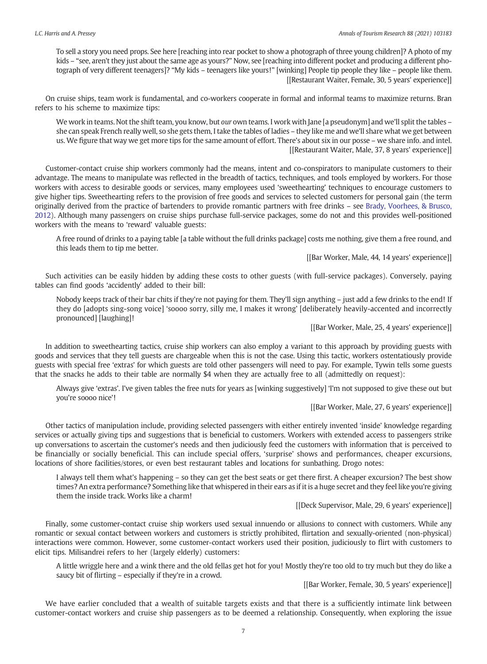To sell a story you need props. See here [reaching into rear pocket to show a photograph of three young children]? A photo of my kids – "see, aren't they just about the same age as yours?" Now, see [reaching into different pocket and producing a different photograph of very different teenagers]? "My kids – teenagers like yours!" [winking] People tip people they like – people like them. [[Restaurant Waiter, Female, 30, 5 years' experience]]

On cruise ships, team work is fundamental, and co-workers cooperate in formal and informal teams to maximize returns. Bran refers to his scheme to maximize tips:

We work in teams. Not the shift team, you know, but our own teams. I work with Jane [a pseudonym] and we'll split the tables she can speak French really well, so she gets them, I take the tables of ladies – they like me and we'll share what we get between us. We figure that way we get more tips for the same amount of effort. There's about six in our posse – we share info. and intel. [[Restaurant Waiter, Male, 37, 8 years' experience]]

Customer-contact cruise ship workers commonly had the means, intent and co-conspirators to manipulate customers to their advantage. The means to manipulate was reflected in the breadth of tactics, techniques, and tools employed by workers. For those workers with access to desirable goods or services, many employees used 'sweethearting' techniques to encourage customers to give higher tips. Sweethearting refers to the provision of free goods and services to selected customers for personal gain (the term originally derived from the practice of bartenders to provide romantic partners with free drinks – see [Brady, Voorhees, & Brusco,](#page-10-0) [2012\)](#page-10-0). Although many passengers on cruise ships purchase full-service packages, some do not and this provides well-positioned workers with the means to 'reward' valuable guests:

A free round of drinks to a paying table [a table without the full drinks package] costs me nothing, give them a free round, and this leads them to tip me better.

[[Bar Worker, Male, 44, 14 years' experience]]

Such activities can be easily hidden by adding these costs to other guests (with full-service packages). Conversely, paying tables can find goods 'accidently' added to their bill:

Nobody keeps track of their bar chits if they're not paying for them. They'll sign anything – just add a few drinks to the end! If they do [adopts sing-song voice] 'soooo sorry, silly me, I makes it wrong' [deliberately heavily-accented and incorrectly pronounced] [laughing]!

[[Bar Worker, Male, 25, 4 years' experience]]

In addition to sweethearting tactics, cruise ship workers can also employ a variant to this approach by providing guests with goods and services that they tell guests are chargeable when this is not the case. Using this tactic, workers ostentatiously provide guests with special free 'extras' for which guests are told other passengers will need to pay. For example, Tywin tells some guests that the snacks he adds to their table are normally \$4 when they are actually free to all (admittedly on request):

Always give 'extras'. I've given tables the free nuts for years as [winking suggestively] 'I'm not supposed to give these out but you're soooo nice'!

[[Bar Worker, Male, 27, 6 years' experience]]

Other tactics of manipulation include, providing selected passengers with either entirely invented 'inside' knowledge regarding services or actually giving tips and suggestions that is beneficial to customers. Workers with extended access to passengers strike up conversations to ascertain the customer's needs and then judiciously feed the customers with information that is perceived to be financially or socially beneficial. This can include special offers, 'surprise' shows and performances, cheaper excursions, locations of shore facilities/stores, or even best restaurant tables and locations for sunbathing. Drogo notes:

I always tell them what's happening – so they can get the best seats or get there first. A cheaper excursion? The best show times? An extra performance? Something like that whispered in their ears as if it is a huge secret and they feel like you're giving them the inside track. Works like a charm!

[[Deck Supervisor, Male, 29, 6 years' experience]]

Finally, some customer-contact cruise ship workers used sexual innuendo or allusions to connect with customers. While any romantic or sexual contact between workers and customers is strictly prohibited, flirtation and sexually-oriented (non-physical) interactions were common. However, some customer-contact workers used their position, judiciously to flirt with customers to elicit tips. Milisandrei refers to her (largely elderly) customers:

A little wriggle here and a wink there and the old fellas get hot for you! Mostly they're too old to try much but they do like a saucy bit of flirting – especially if they're in a crowd.

[[Bar Worker, Female, 30, 5 years' experience]]

We have earlier concluded that a wealth of suitable targets exists and that there is a sufficiently intimate link between customer-contact workers and cruise ship passengers as to be deemed a relationship. Consequently, when exploring the issue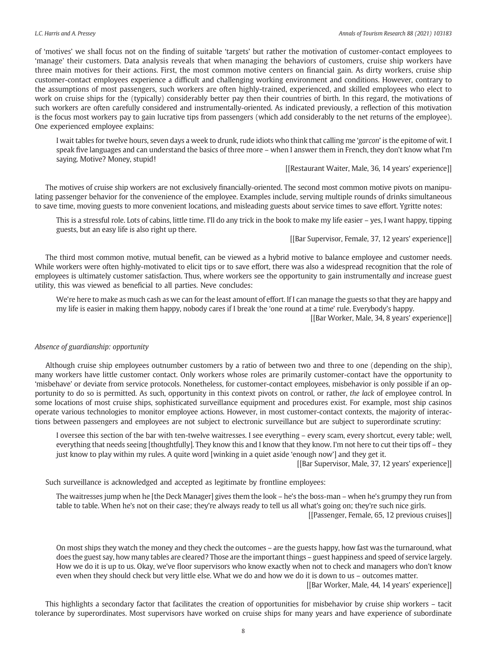of 'motives' we shall focus not on the finding of suitable 'targets' but rather the motivation of customer-contact employees to 'manage' their customers. Data analysis reveals that when managing the behaviors of customers, cruise ship workers have three main motives for their actions. First, the most common motive centers on financial gain. As dirty workers, cruise ship customer-contact employees experience a difficult and challenging working environment and conditions. However, contrary to the assumptions of most passengers, such workers are often highly-trained, experienced, and skilled employees who elect to work on cruise ships for the (typically) considerably better pay then their countries of birth. In this regard, the motivations of such workers are often carefully considered and instrumentally-oriented. As indicated previously, a reflection of this motivation is the focus most workers pay to gain lucrative tips from passengers (which add considerably to the net returns of the employee). One experienced employee explains:

I wait tables for twelve hours, seven days a week to drunk, rude idiots who think that calling me 'garcon' is the epitome of wit. I speak five languages and can understand the basics of three more – when I answer them in French, they don't know what I'm saying. Motive? Money, stupid!

[[Restaurant Waiter, Male, 36, 14 years' experience]]

The motives of cruise ship workers are not exclusively financially-oriented. The second most common motive pivots on manipulating passenger behavior for the convenience of the employee. Examples include, serving multiple rounds of drinks simultaneous to save time, moving guests to more convenient locations, and misleading guests about service times to save effort. Ygritte notes:

This is a stressful role. Lots of cabins, little time. I'll do any trick in the book to make my life easier – yes, I want happy, tipping guests, but an easy life is also right up there.

[[Bar Supervisor, Female, 37, 12 years' experience]]

The third most common motive, mutual benefit, can be viewed as a hybrid motive to balance employee and customer needs. While workers were often highly-motivated to elicit tips or to save effort, there was also a widespread recognition that the role of employees is ultimately customer satisfaction. Thus, where workers see the opportunity to gain instrumentally and increase guest utility, this was viewed as beneficial to all parties. Neve concludes:

We're here to make as much cash as we can for the least amount of effort. If I can manage the guests so that they are happy and my life is easier in making them happy, nobody cares if I break the 'one round at a time' rule. Everybody's happy.

[[Bar Worker, Male, 34, 8 years' experience]]

#### Absence of guardianship: opportunity

Although cruise ship employees outnumber customers by a ratio of between two and three to one (depending on the ship), many workers have little customer contact. Only workers whose roles are primarily customer-contact have the opportunity to 'misbehave' or deviate from service protocols. Nonetheless, for customer-contact employees, misbehavior is only possible if an opportunity to do so is permitted. As such, opportunity in this context pivots on control, or rather, the lack of employee control. In some locations of most cruise ships, sophisticated surveillance equipment and procedures exist. For example, most ship casinos operate various technologies to monitor employee actions. However, in most customer-contact contexts, the majority of interactions between passengers and employees are not subject to electronic surveillance but are subject to superordinate scrutiny:

I oversee this section of the bar with ten-twelve waitresses. I see everything – every scam, every shortcut, every table; well, everything that needs seeing [thoughtfully]. They know this and I know that they know. I'm not here to cut their tips off – they just know to play within my rules. A quite word [winking in a quiet aside 'enough now'] and they get it.

[[Bar Supervisor, Male, 37, 12 years' experience]]

Such surveillance is acknowledged and accepted as legitimate by frontline employees:

The waitresses jump when he [the Deck Manager] gives them the look – he's the boss-man – when he's grumpy they run from table to table. When he's not on their case; they're always ready to tell us all what's going on; they're such nice girls.

[[Passenger, Female, 65, 12 previous cruises]]

On most ships they watch the money and they check the outcomes – are the guests happy, how fast was the turnaround, what does the guest say, how many tables are cleared? Those are the important things – guest happiness and speed of service largely. How we do it is up to us. Okay, we've floor supervisors who know exactly when not to check and managers who don't know even when they should check but very little else. What we do and how we do it is down to us – outcomes matter.

[[Bar Worker, Male, 44, 14 years' experience]]

This highlights a secondary factor that facilitates the creation of opportunities for misbehavior by cruise ship workers – tacit tolerance by superordinates. Most supervisors have worked on cruise ships for many years and have experience of subordinate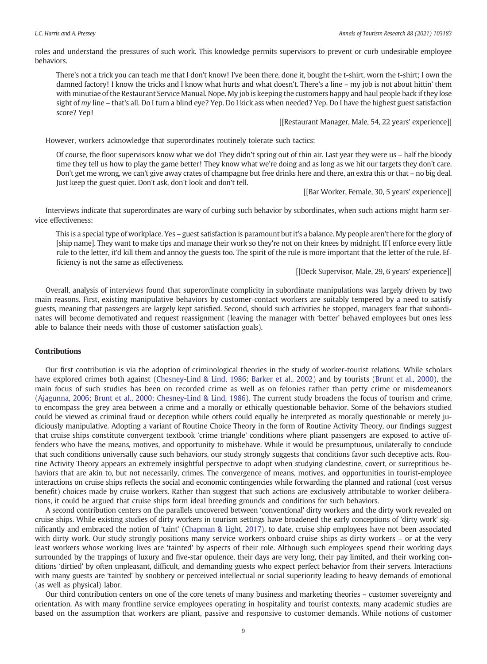roles and understand the pressures of such work. This knowledge permits supervisors to prevent or curb undesirable employee behaviors.

There's not a trick you can teach me that I don't know! I've been there, done it, bought the t-shirt, worn the t-shirt; I own the damned factory! I know the tricks and I know what hurts and what doesn't. There's a line – my job is not about hittin' them with minutiae of the Restaurant Service Manual. Nope. My job is keeping the customers happy and haul people back if they lose sight of my line – that's all. Do I turn a blind eye? Yep. Do I kick ass when needed? Yep. Do I have the highest guest satisfaction score? Yep!

[[Restaurant Manager, Male, 54, 22 years' experience]]

However, workers acknowledge that superordinates routinely tolerate such tactics:

Of course, the floor supervisors know what we do! They didn't spring out of thin air. Last year they were us – half the bloody time they tell us how to play the game better! They know what we're doing and as long as we hit our targets they don't care. Don't get me wrong, we can't give away crates of champagne but free drinks here and there, an extra this or that – no big deal. Just keep the guest quiet. Don't ask, don't look and don't tell.

[[Bar Worker, Female, 30, 5 years' experience]]

Interviews indicate that superordinates are wary of curbing such behavior by subordinates, when such actions might harm service effectiveness:

This is a special type of workplace. Yes – guest satisfaction is paramount but it's a balance. My people aren't here for the glory of [ship name]. They want to make tips and manage their work so they're not on their knees by midnight. If I enforce every little rule to the letter, it'd kill them and annoy the guests too. The spirit of the rule is more important that the letter of the rule. Efficiency is not the same as effectiveness.

[[Deck Supervisor, Male, 29, 6 years' experience]]

Overall, analysis of interviews found that superordinate complicity in subordinate manipulations was largely driven by two main reasons. First, existing manipulative behaviors by customer-contact workers are suitably tempered by a need to satisfy guests, meaning that passengers are largely kept satisfied. Second, should such activities be stopped, managers fear that subordinates will become demotivated and request reassignment (leaving the manager with 'better' behaved employees but ones less able to balance their needs with those of customer satisfaction goals).

#### Contributions

Our first contribution is via the adoption of criminological theories in the study of worker-tourist relations. While scholars have explored crimes both against ([Chesney-Lind & Lind, 1986](#page-10-0); [Barker et al., 2002\)](#page-10-0) and by tourists ([Brunt et al., 2000\)](#page-10-0), the main focus of such studies has been on recorded crime as well as on felonies rather than petty crime or misdemeanors ([Ajagunna, 2006;](#page-10-0) [Brunt et al., 2000;](#page-10-0) [Chesney-Lind & Lind, 1986\)](#page-10-0). The current study broadens the focus of tourism and crime, to encompass the grey area between a crime and a morally or ethically questionable behavior. Some of the behaviors studied could be viewed as criminal fraud or deception while others could equally be interpreted as morally questionable or merely judiciously manipulative. Adopting a variant of Routine Choice Theory in the form of Routine Activity Theory, our findings suggest that cruise ships constitute convergent textbook 'crime triangle' conditions where pliant passengers are exposed to active offenders who have the means, motives, and opportunity to misbehave. While it would be presumptuous, unilaterally to conclude that such conditions universally cause such behaviors, our study strongly suggests that conditions favor such deceptive acts. Routine Activity Theory appears an extremely insightful perspective to adopt when studying clandestine, covert, or surreptitious behaviors that are akin to, but not necessarily, crimes. The convergence of means, motives, and opportunities in tourist-employee interactions on cruise ships reflects the social and economic contingencies while forwarding the planned and rational (cost versus benefit) choices made by cruise workers. Rather than suggest that such actions are exclusively attributable to worker deliberations, it could be argued that cruise ships form ideal breeding grounds and conditions for such behaviors.

A second contribution centers on the parallels uncovered between 'conventional' dirty workers and the dirty work revealed on cruise ships. While existing studies of dirty workers in tourism settings have broadened the early conceptions of 'dirty work' significantly and embraced the notion of 'taint' ([Chapman & Light, 2017](#page-10-0)), to date, cruise ship employees have not been associated with dirty work. Our study strongly positions many service workers onboard cruise ships as dirty workers – or at the very least workers whose working lives are 'tainted' by aspects of their role. Although such employees spend their working days surrounded by the trappings of luxury and five-star opulence, their days are very long, their pay limited, and their working conditions 'dirtied' by often unpleasant, difficult, and demanding guests who expect perfect behavior from their servers. Interactions with many guests are 'tainted' by snobbery or perceived intellectual or social superiority leading to heavy demands of emotional (as well as physical) labor.

Our third contribution centers on one of the core tenets of many business and marketing theories – customer sovereignty and orientation. As with many frontline service employees operating in hospitality and tourist contexts, many academic studies are based on the assumption that workers are pliant, passive and responsive to customer demands. While notions of customer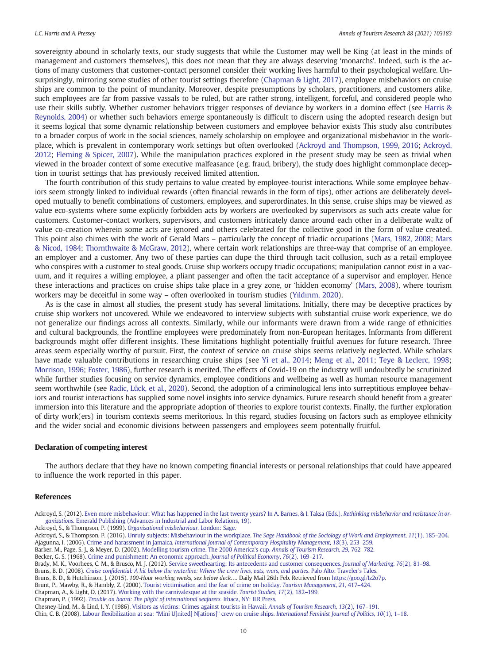<span id="page-10-0"></span>sovereignty abound in scholarly texts, our study suggests that while the Customer may well be King (at least in the minds of management and customers themselves), this does not mean that they are always deserving 'monarchs'. Indeed, such is the actions of many customers that customer-contact personnel consider their working lives harmful to their psychological welfare. Unsurprisingly, mirroring some studies of other tourist settings therefore (Chapman & Light, 2017), employee misbehaviors on cruise ships are common to the point of mundanity. Moreover, despite presumptions by scholars, practitioners, and customers alike, such employees are far from passive vassals to be ruled, but are rather strong, intelligent, forceful, and considered people who use their skills subtly. Whether customer behaviors trigger responses of deviance by workers in a domino effect (see [Harris &](#page-11-0) [Reynolds, 2004](#page-11-0)) or whether such behaviors emerge spontaneously is difficult to discern using the adopted research design but it seems logical that some dynamic relationship between customers and employee behavior exists This study also contributes to a broader corpus of work in the social sciences, namely scholarship on employee and organizational misbehavior in the workplace, which is prevalent in contemporary work settings but often overlooked (Ackroyd and Thompson, 1999, 2016; Ackroyd, 2012; [Fleming & Spicer, 2007](#page-11-0)). While the manipulation practices explored in the present study may be seen as trivial when viewed in the broader context of some executive malfeasance (e.g. fraud, bribery), the study does highlight commonplace deception in tourist settings that has previously received limited attention.

The fourth contribution of this study pertains to value created by employee-tourist interactions. While some employee behaviors seem strongly linked to individual rewards (often financial rewards in the form of tips), other actions are deliberately developed mutually to benefit combinations of customers, employees, and superordinates. In this sense, cruise ships may be viewed as value eco-systems where some explicitly forbidden acts by workers are overlooked by supervisors as such acts create value for customers. Customer-contact workers, supervisors, and customers intricately dance around each other in a deliberate waltz of value co-creation wherein some acts are ignored and others celebrated for the collective good in the form of value created. This point also chimes with the work of Gerald Mars – particularly the concept of triadic occupations ([Mars, 1982, 2008;](#page-11-0) [Mars](#page-11-0) [& Nicod, 1984](#page-11-0); [Thornthwaite & McGraw, 2012\)](#page-12-0), where certain work relationships are three-way that comprise of an employee, an employer and a customer. Any two of these parties can dupe the third through tacit collusion, such as a retail employee who conspires with a customer to steal goods. Cruise ship workers occupy triadic occupations; manipulation cannot exist in a vacuum, and it requires a willing employee, a pliant passenger and often the tacit acceptance of a supervisor and employer. Hence these interactions and practices on cruise ships take place in a grey zone, or 'hidden economy' ([Mars, 2008](#page-11-0)), where tourism workers may be deceitful in some way – often overlooked in tourism studies (Yıldırı[m, 2020](#page-12-0)).

As is the case in almost all studies, the present study has several limitations. Initially, there may be deceptive practices by cruise ship workers not uncovered. While we endeavored to interview subjects with substantial cruise work experience, we do not generalize our findings across all contexts. Similarly, while our informants were drawn from a wide range of ethnicities and cultural backgrounds, the frontline employees were predominately from non-European heritages. Informants from different backgrounds might offer different insights. These limitations highlight potentially fruitful avenues for future research. Three areas seem especially worthy of pursuit. First, the context of service on cruise ships seems relatively neglected. While scholars have made valuable contributions in researching cruise ships (see [Yi et al., 2014;](#page-12-0) [Meng et al., 2011](#page-11-0); [Teye & Leclerc, 1998;](#page-11-0) [Morrison, 1996;](#page-11-0) [Foster, 1986](#page-11-0)), further research is merited. The effects of Covid-19 on the industry will undoubtedly be scrutinized while further studies focusing on service dynamics, employee conditions and wellbeing as well as human resource management seem worthwhile (see [Radic, Lück, et al., 2020](#page-11-0)). Second, the adoption of a criminological lens into surreptitious employee behaviors and tourist interactions has supplied some novel insights into service dynamics. Future research should benefit from a greater immersion into this literature and the appropriate adoption of theories to explore tourist contexts. Finally, the further exploration of dirty work(ers) in tourism contexts seems meritorious. In this regard, studies focusing on factors such as employee ethnicity and the wider social and economic divisions between passengers and employees seem potentially fruitful.

#### Declaration of competing interest

The authors declare that they have no known competing financial interests or personal relationships that could have appeared to influence the work reported in this paper.

#### References

Ackroyd, S. (2012). [Even more misbehaviour: What has happened in the last twenty years? In A. Barnes, & I. Taksa \(Eds.\),](http://refhub.elsevier.com/S0160-7383(21)00045-1/rf0005) Rethinking misbehavior and resistance in organizations[. Emerald Publishing \(Advances in Industrial and Labor Relations, 19\).](http://refhub.elsevier.com/S0160-7383(21)00045-1/rf0005)

Ackroyd, S., & Thompson, P. (2016). Unruly subjects: Misbehaviour in the workplace. [The Sage Handbook of the Sociology of Work and Employment](http://refhub.elsevier.com/S0160-7383(21)00045-1/rf0015), 11(1), 185–204.

Ajagunna, I. (2006). Crime and harassment in Jamaica. [International Journal of Contemporary Hospitality Management](http://refhub.elsevier.com/S0160-7383(21)00045-1/rf0020), 18(3), 253–259.

- Barker, M., Page, S. J., & Meyer, D. (2002). [Modelling tourism crime. The 2000 America](http://refhub.elsevier.com/S0160-7383(21)00045-1/rf0025)'s cup. Annals of Tourism Research, 29, 762–782.
- Becker, G. S. (1968). [Crime and punishment: An economic approach.](http://refhub.elsevier.com/S0160-7383(21)00045-1/rf0030) Journal of Political Economy, 76(2), 169–217.
- Brady, M. K., Voorhees, C. M., & Brusco, M. J. (2012). [Service sweethearting: Its antecedents and customer consequences.](http://refhub.elsevier.com/S0160-7383(21)00045-1/rf0035) Journal of Marketing, 76(2), 81–98.
- Bruns, B. D. (2008). [Cruise confidential: A hit below the waterline: Where the crew lives, eats, wars, and parties.](http://refhub.elsevier.com/S0160-7383(21)00045-1/rf0040) Palo Alto: Traveler's Tales.
- Bruns, B. D., & Hutchinson, J. (2015). 100-Hour working weeks, sex below deck…. Daily Mail 26th Feb. Retrieved from <https://goo.gl/Iz2o7p>.
- Brunt, P., Mawby, R., & Hambly, Z. (2000). [Tourist victimisation and the fear of crime on holiday.](http://refhub.elsevier.com/S0160-7383(21)00045-1/rf0050) Tourism Management, 21, 417–424.
- Chapman, A., & Light, D. (2017). [Working with the carnivalesque at the seaside.](http://refhub.elsevier.com/S0160-7383(21)00045-1/rf0055) Tourist Studies, 17(2), 182–199.
- Chapman, P. (1992). [Trouble on board: The plight of international seafarers.](http://refhub.elsevier.com/S0160-7383(21)00045-1/rf0060) Ithaca, NY: ILR Press.

Chesney-Lind, M., & Lind, I. Y. (1986). [Visitors as victims: Crimes against tourists in Hawaii.](http://refhub.elsevier.com/S0160-7383(21)00045-1/rf0065) Annals of Tourism Research, 13(2), 167–191.

Chin, C. B. (2008). Labour flexibilization at sea: "Mini U[nited] N[ations]" crew on cruise ships. [International Feminist Journal of Politics](http://refhub.elsevier.com/S0160-7383(21)00045-1/rf0070), 10(1), 1–18.

Ackroyd, S., & Thompson, P. (1999). [Organisational misbehaviour.](http://refhub.elsevier.com/S0160-7383(21)00045-1/rf0010) London: Sage.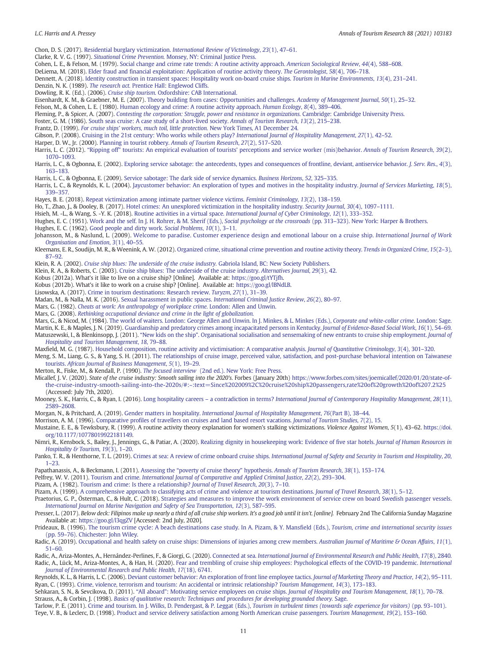<span id="page-11-0"></span>Chon, D. S. (2017). Residential burglary victimization. [International Review of Victimology](http://refhub.elsevier.com/S0160-7383(21)00045-1/rf0075), 23(1), 47–61.

Clarke, R. V. G. (1997). Situational Crime Prevention. [Monsey, NY: Criminal Justice Press.](http://refhub.elsevier.com/S0160-7383(21)00045-1/rf0080)

Cohen, L. E., & Felson, M. (1979). [Social change and crime rate trends: A routine activity approach.](http://refhub.elsevier.com/S0160-7383(21)00045-1/rf0085) American Sociological Review, 44(4), 588–608.

DeLiema, M. (2018). [Elder fraud and financial exploitation: Application of routine activity theory.](http://refhub.elsevier.com/S0160-7383(21)00045-1/rf0090) The Gerontologist, 58(4), 706–718.

Dennett, A. (2018). [Identity construction in transient spaces: Hospitality work on-board cruise ships.](http://refhub.elsevier.com/S0160-7383(21)00045-1/rf0095) Tourism in Marine Environments, 13(4), 231–241.

Denzin, N. K. (1989). The research act. [Prentice Hall: Englewod Cliffs.](http://refhub.elsevier.com/S0160-7383(21)00045-1/rf0100)

Dowling, R. K. (Ed.). (2006). Cruise ship tourism[. Oxfordshire: CAB International.](http://refhub.elsevier.com/S0160-7383(21)00045-1/rf0105)

Eisenhardt, K. M., & Graebner, M. E. (2007). [Theory building from cases: Opportunities and challenges.](http://refhub.elsevier.com/S0160-7383(21)00045-1/rf0110) Academy of Management Journal, 50(1), 25–32.

Felson, M., & Cohen, L. E. (1980). [Human ecology and crime: A routine activity approach.](http://refhub.elsevier.com/S0160-7383(21)00045-1/rf0115) Human Ecology, 8(4), 389–406.

Fleming, P., & Spicer, A. (2007). [Contesting the corporation: Struggle, power and resistance in organizations.](http://refhub.elsevier.com/S0160-7383(21)00045-1/rf0120) Cambridge: Cambridge University Press.

Foster, G. M. (1986). [South seas cruise: A case study of a short-lived society.](http://refhub.elsevier.com/S0160-7383(21)00045-1/rf0125) Annals of Tourism Research, 13(2), 215–238.

Frantz, D. (1999). For cruise ships' workers, much toil, little protection. [New York Times, A1 December 24.](http://refhub.elsevier.com/S0160-7383(21)00045-1/rf0130)

Gibson, P. (2008). [Cruising in the 21st century: Who works while others play?](http://refhub.elsevier.com/S0160-7383(21)00045-1/rf0135) International Journal of Hospitality Management, 27(1), 42–52.

Harper, D. W., Jr. (2000). [Planning in tourist robbery.](http://refhub.elsevier.com/S0160-7383(21)00045-1/rf0145) Annals of Tourism Research, 27(2), 517–520.

Harris, L. C. (2012). "Ripping off" tourists: An empirical evaluation of tourists' [perceptions and service worker \(mis\)behavior.](http://refhub.elsevier.com/S0160-7383(21)00045-1/rf0150) Annals of Tourism Research, 39(2), 1070–[1093.](http://refhub.elsevier.com/S0160-7383(21)00045-1/rf0150)

Harris, L. C., & Ogbonna, E. (2002). [Exploring service sabotage: the antecedents, types and consequences of frontline, deviant, antiservice behavior.](http://refhub.elsevier.com/S0160-7383(21)00045-1/rf0160) J. Serv. Res., 4(3), 163–[183.](http://refhub.elsevier.com/S0160-7383(21)00045-1/rf0160)

Harris, L. C., & Ogbonna, E. (2009). [Service sabotage: The dark side of service dynamics.](http://refhub.elsevier.com/S0160-7383(21)00045-1/rf0155) Business Horizons, 52, 325–335.

Harris, L. C., & Reynolds, K. L. (2004). [Jaycustomer behavior: An exploration of types and motives in the hospitality industry.](http://refhub.elsevier.com/S0160-7383(21)00045-1/rf0165) Journal of Services Marketing, 18(5), 339–[357.](http://refhub.elsevier.com/S0160-7383(21)00045-1/rf0165)

Hayes, B. E. (2018). [Repeat victimization among intimate partner violence victims.](http://refhub.elsevier.com/S0160-7383(21)00045-1/rf0170) Feminist Criminology, 13(2), 138–159.

Ho, T., Zhao, J., & Dooley, B. (2017). [Hotel crimes: An unexplored victimization in the hospitality industry.](http://refhub.elsevier.com/S0160-7383(21)00045-1/rf0175) Security Journal, 30(4), 1097–1111.

Hsieh, M. -L., & Wang, S. -Y. K. (2018). Routine activities in a virtual space. [International Journal of Cyber Criminology](http://refhub.elsevier.com/S0160-7383(21)00045-1/rf0180), 12(1), 333–352.

Hughes, E. C. (1951). [Work and the self. In J. H. Rohrer, & M. Sherif \(Eds.\),](http://refhub.elsevier.com/S0160-7383(21)00045-1/rf0185) Social psychology at the crossroads (pp. 313-323). New York: Harper & Brothers.

Hughes, E. C. (1962). [Good people and dirty work.](http://refhub.elsevier.com/S0160-7383(21)00045-1/rf0190) Social Problems, 10(1), 3-11.

Johansson, M., & Naslund, L. (2009). [Welcome to paradise. Customer experience design and emotional labour on a cruise ship.](http://refhub.elsevier.com/S0160-7383(21)00045-1/rf0195) International Journal of Work [Organisation and Emotion](http://refhub.elsevier.com/S0160-7383(21)00045-1/rf0195), 3(1), 40–55.

Kleemans, E. R., Soudijn, M. R., & Weenink, A. W. (2012). [Organized crime, situational crime prevention and routine activity theory.](http://refhub.elsevier.com/S0160-7383(21)00045-1/rf0200) Trends in Organized Crime, 15(2–3), 87–[92.](http://refhub.elsevier.com/S0160-7383(21)00045-1/rf0200)

Klein, R. A. (2002). [Cruise ship blues: The underside of the cruise industry.](http://refhub.elsevier.com/S0160-7383(21)00045-1/rf0205) Gabriola Island, BC: New Society Publishers.

Klein, R. A., & Roberts, C. (2003). [Cruise ship blues: The underside of the cruise industry.](http://refhub.elsevier.com/S0160-7383(21)00045-1/rf0210) Alternatives Journal, 29(3), 42.

Kobus (2012a). What's it like to live on a cruise ship? [Online]. Available at: <https://goo.gl/tYTjfh>.

Kobus (2012b). What's it like to work on a cruise ship? [Online]. Available at: [https://goo.gl/lBNdLB.](https://goo.gl/lBNdLB)

Lisowska, A. (2017). [Crime in tourism destinations: Research review.](http://refhub.elsevier.com/S0160-7383(21)00045-1/rf0225) Turyzm, 27(1), 31–39.

Madan, M., & Nalla, M. K. (2016). [Sexual harassment in public spaces.](http://refhub.elsevier.com/S0160-7383(21)00045-1/rf0230) International Criminal Justice Review, 26(2), 80–97.

Mars, G. (1982). [Cheats at work: An anthropology of workplace crime.](http://refhub.elsevier.com/S0160-7383(21)00045-1/rf0235) London: Allen and Unwin.

Mars, G. (2008). [Rethinking occupational deviance and crime in the light of globalization.](http://refhub.elsevier.com/S0160-7383(21)00045-1/rf0240)

Mars, G., & Nicod, M. (1984). [The world of waiters. London: George Allen and Unwin. In J. Minkes, & L. Minkes \(Eds.\),](http://refhub.elsevier.com/S0160-7383(21)00045-1/rf0245) Corporate and white-collar crime. London: Sage.

Martin, K. E., & Maples, J. N. (2019). [Guardianship and predatory crimes among incapacitated persons in Kentucky.](http://refhub.elsevier.com/S0160-7383(21)00045-1/rf0250) Journal of Evidence-Based Social Work, 16(1), 54–69.<br>Matuszewski, I., & Blenkinsopp, J. (2011). "New kids on

[Hospitality and Tourism Management](http://refhub.elsevier.com/S0160-7383(21)00045-1/rf0255), 18, 79–88. Maxfield, M. G. (1987). [Household composition, routine activity and victimisation: A comparative analysis.](http://refhub.elsevier.com/S0160-7383(21)00045-1/rf0260) Journal of Quantitative Criminology, 3(4), 301–320.

Meng, S. M., Liang, G. S., & Yang, S. H. (2011). [The relationships of cruise image, perceived value, satisfaction, and post-purchase behavioral intention on Taiwanese](http://refhub.elsevier.com/S0160-7383(21)00045-1/rf0265)

tourists. [African Journal of Business Management](http://refhub.elsevier.com/S0160-7383(21)00045-1/rf0265), 5(1), 19–29.

Merton, R., Fiske, M., & Kendall, P. (1990). The focused interview [\(2nd ed.\). New York: Free Press.](http://refhub.elsevier.com/S0160-7383(21)00045-1/rf0270)

Micallef, J. V. (2020). State of the cruise industry: Smooth sailing into the 2020's. Forbes (January 20th) [https://www.forbes.com/sites/joemicallef/2020/01/20/state-of](https://www.forbes.com/sites/joemicallef/2020/01/20/state-of-the-cruise-industry-smooth-sailing-into-the-2020s/#:~:text=Since%202009%2C%20cruise%20ship%20passengers,rate%20of%20growth%20of%207.2%25)[the-cruise-industry-smooth-sailing-into-the-2020s/#:~:text=Since%202009%2C%20cruise%20ship%20passengers,rate%20of%20growth%20of%207.2%25](https://www.forbes.com/sites/joemicallef/2020/01/20/state-of-the-cruise-industry-smooth-sailing-into-the-2020s/#:~:text=Since%202009%2C%20cruise%20ship%20passengers,rate%20of%20growth%20of%207.2%25) (Accessed: July 7th, 2020).

Mooney, S. K., Harris, C., & Ryan, I. (2016). Long hospitality careers - a contradiction in terms? [International Journal of Contemporary Hospitality Management](http://refhub.elsevier.com/S0160-7383(21)00045-1/rf2015), 28(11), 2589–[2608.](http://refhub.elsevier.com/S0160-7383(21)00045-1/rf2015)

Morgan, N., & Pritchard, A. (2019). Gender matters in hospitality. [International Journal of Hospitality Management](http://refhub.elsevier.com/S0160-7383(21)00045-1/rf0285), 76(Part B), 38–44.

Morrison, A. M. (1996). [Comparative profiles of travellers on cruises and land based resort vacations.](http://refhub.elsevier.com/S0160-7383(21)00045-1/rf0290) Journal of Tourism Studies, 7(2), 15. Mustaine, E. E., & Tewksbury, R. (1999). A routine activity theory explanation for women's stalking victimizations. Violence Against Women, 5(1), 43–62. [https://doi.](https://doi.org/10.1177/10778019922181149) [org/10.1177/10778019922181149.](https://doi.org/10.1177/10778019922181149)

Nimri, R., Kensbock, S., Bailey, J., Jennings, G., & Patiar, A. (2020). [Realizing dignity in housekeeping work: Evidence of five star hotels.](http://refhub.elsevier.com/S0160-7383(21)00045-1/rf0295) Journal of Human Resources in [Hospitality & Tourism](http://refhub.elsevier.com/S0160-7383(21)00045-1/rf0295), 19(3), 1–20.

Panko, T. R., & Henthorne, T. L. (2019). Crimes at sea: A review of crime onboard cruise ships. [International Journal of Safety and Security in Tourism and Hospitality](http://refhub.elsevier.com/S0160-7383(21)00045-1/rf0300), 20, 1–[23.](http://refhub.elsevier.com/S0160-7383(21)00045-1/rf0300)

Papathanassis, A., & Beckmann, I. (2011). Assessing the "poverty of cruise theory" hypothesis. [Annals of Tourism Research](http://refhub.elsevier.com/S0160-7383(21)00045-1/rf0305), 38(1), 153–174.

Pelfrey, W. V. (2011). Tourism and crime. [International Journal of Comparative and Applied Criminal Justice](http://refhub.elsevier.com/S0160-7383(21)00045-1/rf0310), 22(2), 293-304.

Pizam, A. (1982). [Tourism and crime: Is there a relationship?](http://refhub.elsevier.com/S0160-7383(21)00045-1/rf0315) Journal of Travel Research, 20(3), 7–10.

Pizam, A. (1999). [A comprehensive approach to classifying acts of crime and violence at tourism destinations.](http://refhub.elsevier.com/S0160-7383(21)00045-1/rf0320) Journal of Travel Research, 38(1), 5–12.

Praetorius, G. P., Österman, C., & Hult, C. (2018). [Strategies and measures to improve the work environment of service crew on board Swedish passenger vessels.](http://refhub.elsevier.com/S0160-7383(21)00045-1/rf0325) [International Journal on Marine Navigation and Safety of Sea Transportation](http://refhub.elsevier.com/S0160-7383(21)00045-1/rf0325), 12(3), 587–595.

Presser, L. (2017). Below deck: Filipinos make up nearly a third of all cruise ship workers. It's a good job until it isn't. [online]. February 2nd The California Sunday Magazine Available at: <https://goo.gl/l3qgZV> [Accessed: 2nd July, 2020].

Prideaux, B. (1996). [The tourism crime cycle: A beach destinations case study. In A. Pizam, & Y. Mansfield \(Eds.\),](http://refhub.elsevier.com/S0160-7383(21)00045-1/rf0335) Tourism, crime and international security issues (pp. 59–[76\). Chichester: John Wiley.](http://refhub.elsevier.com/S0160-7383(21)00045-1/rf0335)

Radic, A. (2019). [Occupational and health safety on cruise ships: Dimensions of injuries among crew members.](http://refhub.elsevier.com/S0160-7383(21)00045-1/rf0340) Australian Journal of Maritime & Ocean Affairs, 11(1), 51–[60.](http://refhub.elsevier.com/S0160-7383(21)00045-1/rf0340)

Radic, A., Ariza-Montes, A., Hernández-Perlines, F., & Giorgi, G. (2020). Connected at sea. [International Journal of Environmental Research and Public Health](http://refhub.elsevier.com/S0160-7383(21)00045-1/rf0345), 17(8), 2840. Radic, A., Lück, M., Ariza-Montes, A., & Han, H. (2020). [Fear and trembling of cruise ship employees: Psychological effects of the COVID-19 pandemic.](http://refhub.elsevier.com/S0160-7383(21)00045-1/rf0350) International [Journal of Environmental Research and Public Health](http://refhub.elsevier.com/S0160-7383(21)00045-1/rf0350), 17(18), 6741.

Reynolds, K. L., & Harris, L. C. (2006). [Deviant customer behavior: An exploration of front line employee tactics.](http://refhub.elsevier.com/S0160-7383(21)00045-1/rf0355) Journal of Marketing Theory and Practice, 14(2), 95-111. Ryan, C. (1993). [Crime, violence, terrorism and tourism: An accidental or intrinsic relationship?](http://refhub.elsevier.com/S0160-7383(21)00045-1/rf0360) Tourism Management, 14(3), 173–183.

Sehkaran, S. N., & Sevcikova, D. (2011). "All aboard"[: Motivating service employees on cruise ships.](http://refhub.elsevier.com/S0160-7383(21)00045-1/rf0365) Journal of Hospitality and Tourism Management, 18(1), 70-78. Strauss, A., & Corbin, J. (1998). [Basics of qualitative research: Techniques and procedures for developing grounded theory.](http://refhub.elsevier.com/S0160-7383(21)00045-1/rf0370) Sage.

Tarlow, P. E. (2011). [Crime and tourism. In J. Wilks, D. Pendergast, & P. Leggat \(Eds.\),](http://refhub.elsevier.com/S0160-7383(21)00045-1/rf0375) Tourism in turbulent times (towards safe experience for visitors) (pp. 93–101). Teye, V. B., & Leclerc, D. (1998). [Product and service delivery satisfaction among North American cruise passengers.](http://refhub.elsevier.com/S0160-7383(21)00045-1/rf0380) Tourism Management, 19(2), 153–160.